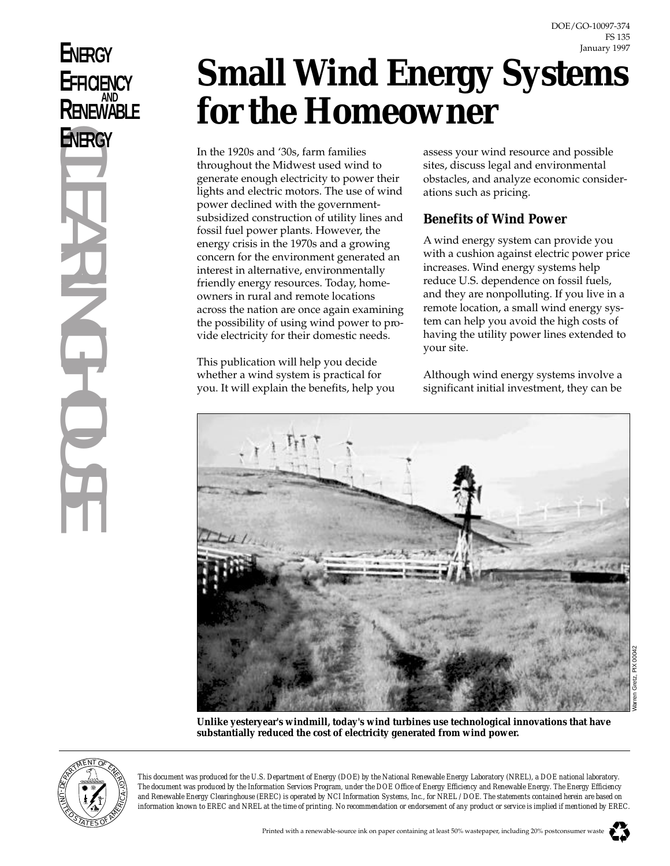CLEARINGHOUSE **ENERGY EFFICIENCY RENEWABLE ENERGY**

# **Small Wind Energy Systems for the Homeowner**

In the 1920s and '30s, farm families throughout the Midwest used wind to generate enough electricity to power their lights and electric motors. The use of wind power declined with the governmentsubsidized construction of utility lines and fossil fuel power plants. However, the energy crisis in the 1970s and a growing concern for the environment generated an interest in alternative, environmentally friendly energy resources. Today, homeowners in rural and remote locations across the nation are once again examining the possibility of using wind power to provide electricity for their domestic needs.

This publication will help you decide whether a wind system is practical for you. It will explain the benefits, help you assess your wind resource and possible sites, discuss legal and environmental obstacles, and analyze economic considerations such as pricing.

# **Benefits of Wind Power**

A wind energy system can provide you with a cushion against electric power price increases. Wind energy systems help reduce U.S. dependence on fossil fuels, and they are nonpolluting. If you live in a remote location, a small wind energy system can help you avoid the high costs of having the utility power lines extended to your site.

Although wind energy systems involve a significant initial investment, they can be



**Unlike yesteryear's windmill, today's wind turbines use technological innovations that have substantially reduced the cost of electricity generated from wind power.**



*This document was produced for the U.S. Department of Energy (DOE) by the National Renewable Energy Laboratory (NREL), a DOE national laboratory. The document was produced by the Information Services Program, under the DOE Office of Energy Efficiency and Renewable Energy. The Energy Efficiency and Renewable Energy Clearinghouse (EREC) is operated by NCI Information Systems, Inc., for NREL / DOE. The statements contained herein are based on information known to EREC and NREL at the time of printing. No recommendation or endorsement of any product or service is implied if mentioned by EREC.*

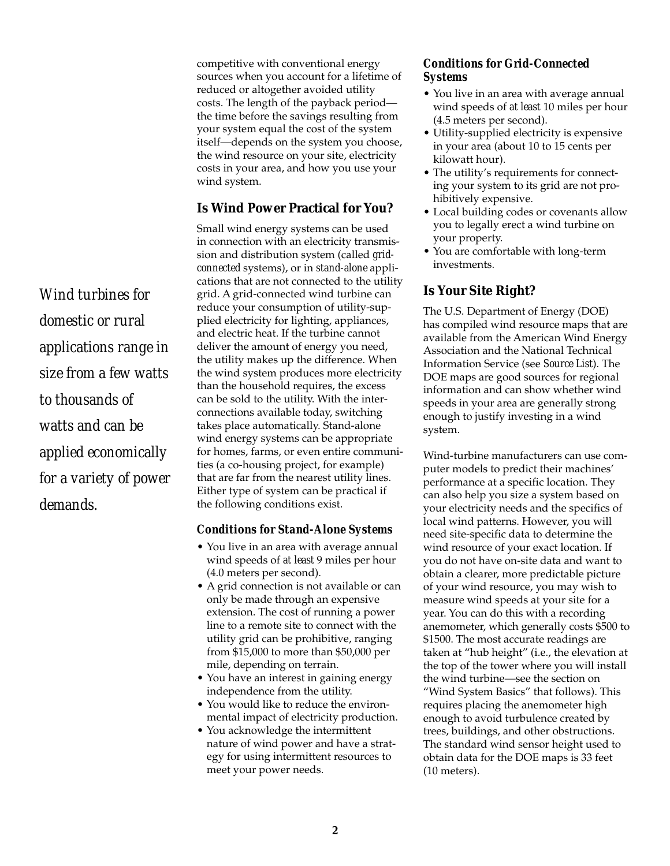competitive with conventional energy sources when you account for a lifetime of reduced or altogether avoided utility costs. The length of the payback period the time before the savings resulting from your system equal the cost of the system itself—depends on the system you choose, the wind resource on your site, electricity costs in your area, and how you use your wind system.

# **Is Wind Power Practical for You?**

Small wind energy systems can be used in connection with an electricity transmission and distribution system (called *gridconnected* systems), or in *stand-alone* applications that are not connected to the utility grid. A grid-connected wind turbine can reduce your consumption of utility-supplied electricity for lighting, appliances, and electric heat. If the turbine cannot deliver the amount of energy you need, the utility makes up the difference. When the wind system produces more electricity than the household requires, the excess can be sold to the utility. With the interconnections available today, switching takes place automatically. Stand-alone wind energy systems can be appropriate for homes, farms, or even entire communities (a co-housing project, for example) that are far from the nearest utility lines. Either type of system can be practical if the following conditions exist.

## *Conditions for Stand-Alone Systems*

- You live in an area with average annual wind speeds of *at least* 9 miles per hour (4.0 meters per second).
- A grid connection is not available or can only be made through an expensive extension. The cost of running a power line to a remote site to connect with the utility grid can be prohibitive, ranging from \$15,000 to more than \$50,000 per mile, depending on terrain.
- You have an interest in gaining energy independence from the utility.
- You would like to reduce the environmental impact of electricity production.
- You acknowledge the intermittent nature of wind power and have a strategy for using intermittent resources to meet your power needs.

# *Conditions for Grid-Connected Systems*

- You live in an area with average annual wind speeds of *at least* 10 miles per hour (4.5 meters per second).
- Utility-supplied electricity is expensive in your area (about 10 to 15 cents per kilowatt hour).
- The utility's requirements for connecting your system to its grid are not prohibitively expensive.
- Local building codes or covenants allow you to legally erect a wind turbine on your property.
- You are comfortable with long-term investments.

# **Is Your Site Right?**

The U.S. Department of Energy (DOE) has compiled wind resource maps that are available from the American Wind Energy Association and the National Technical Information Service (see *Source List*). The DOE maps are good sources for regional information and can show whether wind speeds in your area are generally strong enough to justify investing in a wind system.

Wind-turbine manufacturers can use computer models to predict their machines' performance at a specific location. They can also help you size a system based on your electricity needs and the specifics of local wind patterns. However, you will need site-specific data to determine the wind resource of your exact location. If you do not have on-site data and want to obtain a clearer, more predictable picture of your wind resource, you may wish to measure wind speeds at your site for a year. You can do this with a recording anemometer, which generally costs \$500 to \$1500. The most accurate readings are taken at "hub height" (i.e., the elevation at the top of the tower where you will install the wind turbine—see the section on "Wind System Basics" that follows). This requires placing the anemometer high enough to avoid turbulence created by trees, buildings, and other obstructions. The standard wind sensor height used to obtain data for the DOE maps is 33 feet (10 meters).

*Wind turbines for domestic or rural applications range in size from a few watts to thousands of watts and can be applied economically for a variety of power demands.*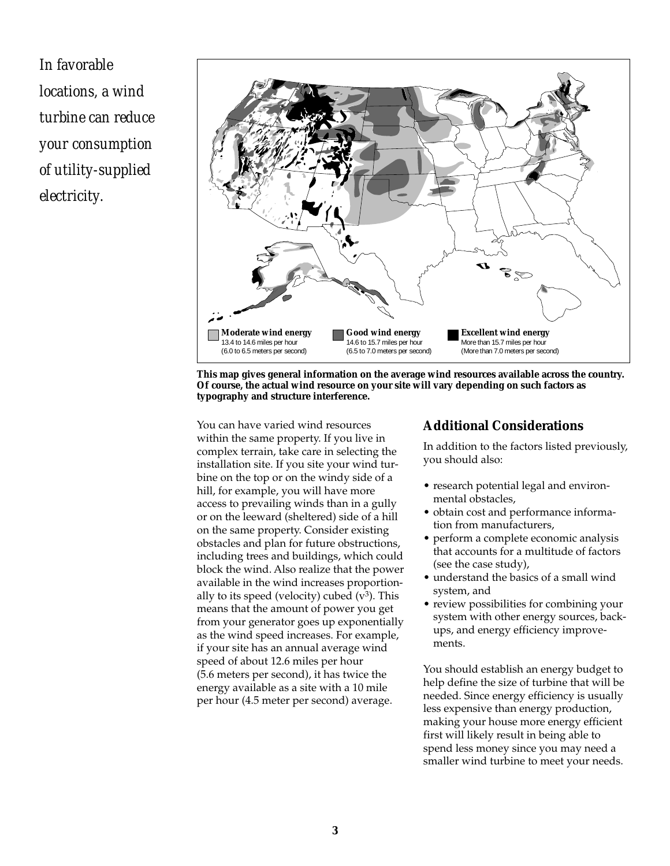*In favorable locations, a wind turbine can reduce your consumption of utility-supplied electricity.*



**This map gives general information on the average wind resources available across the country. Of course, the actual wind resource on your site will vary depending on such factors as typography and structure interference.**

You can have varied wind resources within the same property. If you live in complex terrain, take care in selecting the installation site. If you site your wind turbine on the top or on the windy side of a hill, for example, you will have more access to prevailing winds than in a gully or on the leeward (sheltered) side of a hill on the same property. Consider existing obstacles and plan for future obstructions, including trees and buildings, which could block the wind. Also realize that the power available in the wind increases proportionally to its speed (velocity) cubed  $(v^3)$ . This means that the amount of power you get from your generator goes up exponentially as the wind speed increases. For example, if your site has an annual average wind speed of about 12.6 miles per hour (5.6 meters per second), it has twice the energy available as a site with a 10 mile per hour (4.5 meter per second) average.

# **Additional Considerations**

In addition to the factors listed previously, you should also:

- research potential legal and environmental obstacles,
- obtain cost and performance information from manufacturers,
- perform a complete economic analysis that accounts for a multitude of factors (see the case study),
- understand the basics of a small wind system, and
- review possibilities for combining your system with other energy sources, backups, and energy efficiency improvements.

You should establish an energy budget to help define the size of turbine that will be needed. Since energy efficiency is usually less expensive than energy production, making your house more energy efficient first will likely result in being able to spend less money since you may need a smaller wind turbine to meet your needs.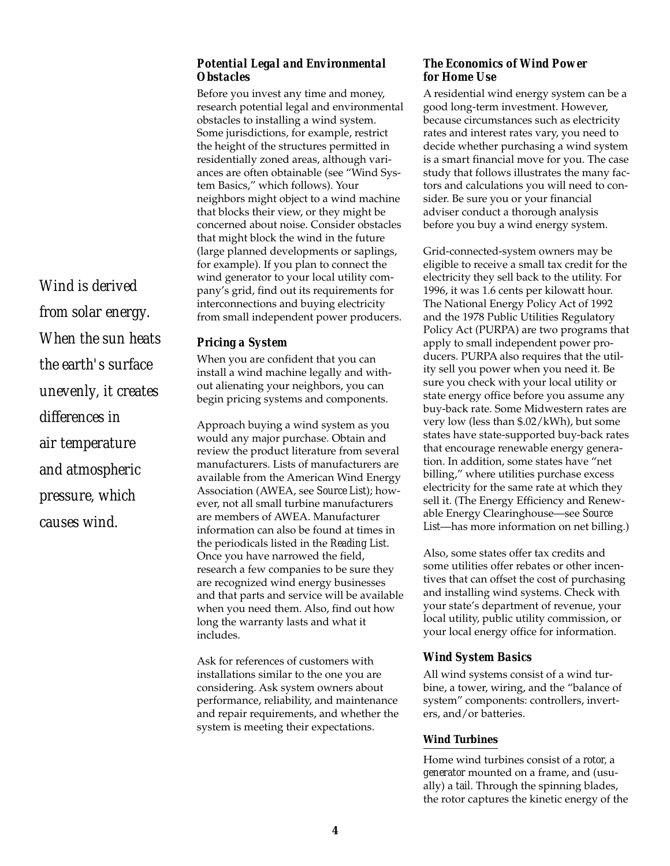# *Potential Legal and Environmental Obstacles*

Before you invest any time and money, research potential legal and environmental obstacles to installing a wind system. Some jurisdictions, for example, restrict the height of the structures permitted in residentially zoned areas, although variances are often obtainable (see "Wind System Basics," which follows). Your neighbors might object to a wind machine that blocks their view, or they might be concerned about noise. Consider obstacles that might block the wind in the future (large planned developments or saplings, for example). If you plan to connect the wind generator to your local utility company's grid, find out its requirements for interconnections and buying electricity from small independent power producers.

## *Pricing a System*

When you are confident that you can install a wind machine legally and without alienating your neighbors, you can begin pricing systems and components.

Approach buying a wind system as you would any major purchase. Obtain and review the product literature from several manufacturers. Lists of manufacturers are available from the American Wind Energy Association (AWEA, see *Source List*); however, not all small turbine manufacturers are members of AWEA. Manufacturer information can also be found at times in the periodicals listed in the *Reading List.* Once you have narrowed the field, research a few companies to be sure they are recognized wind energy businesses and that parts and service will be available when you need them. Also, find out how long the warranty lasts and what it includes.

Ask for references of customers with installations similar to the one you are considering. Ask system owners about performance, reliability, and maintenance and repair requirements, and whether the system is meeting their expectations.

# *The Economics of Wind Power for Home Use*

A residential wind energy system can be a good long-term investment. However, because circumstances such as electricity rates and interest rates vary, you need to decide whether purchasing a wind system is a smart financial move for you. The case study that follows illustrates the many factors and calculations you will need to consider. Be sure you or your financial adviser conduct a thorough analysis before you buy a wind energy system.

Grid-connected-system owners may be eligible to receive a small tax credit for the electricity they sell back to the utility. For 1996, it was 1.6 cents per kilowatt hour. The National Energy Policy Act of 1992 and the 1978 Public Utilities Regulatory Policy Act (PURPA) are two programs that apply to small independent power producers. PURPA also requires that the utility sell you power when you need it. Be sure you check with your local utility or state energy office before you assume any buy-back rate. Some Midwestern rates are very low (less than \$.02/kWh), but some states have state-supported buy-back rates that encourage renewable energy generation. In addition, some states have "net billing," where utilities purchase excess electricity for the same rate at which they sell it. (The Energy Efficiency and Renewable Energy Clearinghouse—see *Source List*—has more information on net billing.)

Also, some states offer tax credits and some utilities offer rebates or other incentives that can offset the cost of purchasing and installing wind systems. Check with your state's department of revenue, your local utility, public utility commission, or your local energy office for information.

# *Wind System Basics*

All wind systems consist of a wind turbine, a tower, wiring, and the "balance of system" components: controllers, inverters, and/or batteries.

# **Wind Turbines**

Home wind turbines consist of a *rotor,* a *generator* mounted on a frame, and (usually) a *tail.* Through the spinning blades, the rotor captures the kinetic energy of the

*Wind is derived from solar energy. When the sun heats the earth's surface unevenly, it creates differences in air temperature and atmospheric pressure, which causes wind.*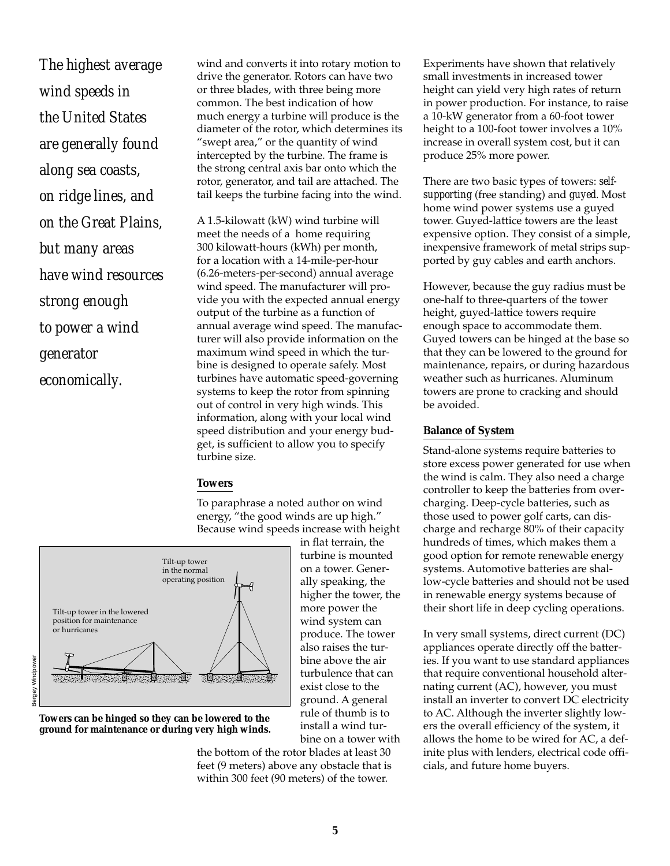*The highest average wind speeds in the United States are generally found along sea coasts, on ridge lines, and on the Great Plains, but many areas have wind resources strong enough to power a wind generator economically.*

wind and converts it into rotary motion to drive the generator. Rotors can have two or three blades, with three being more common. The best indication of how much energy a turbine will produce is the diameter of the rotor, which determines its "swept area," or the quantity of wind intercepted by the turbine. The frame is the strong central axis bar onto which the rotor, generator, and tail are attached. The tail keeps the turbine facing into the wind.

A 1.5-kilowatt (kW) wind turbine will meet the needs of a home requiring 300 kilowatt-hours (kWh) per month, for a location with a 14-mile-per-hour (6.26-meters-per-second) annual average wind speed. The manufacturer will provide you with the expected annual energy output of the turbine as a function of annual average wind speed. The manufacturer will also provide information on the maximum wind speed in which the turbine is designed to operate safely. Most turbines have automatic speed-governing systems to keep the rotor from spinning out of control in very high winds. This information, along with your local wind speed distribution and your energy budget, is sufficient to allow you to specify turbine size.

### **Towers**

To paraphrase a noted author on wind energy, "the good winds are up high." Because wind speeds increase with height



**ground for maintenance or during very high winds.** 

in flat terrain, the turbine is mounted on a tower. Generally speaking, the higher the tower, the more power the wind system can produce. The tower also raises the turbine above the air turbulence that can exist close to the ground. A general rule of thumb is to install a wind turbine on a tower with

the bottom of the rotor blades at least 30 feet (9 meters) above any obstacle that is within 300 feet (90 meters) of the tower.

Experiments have shown that relatively small investments in increased tower height can yield very high rates of return in power production. For instance, to raise a 10-kW generator from a 60-foot tower height to a 100-foot tower involves a 10% increase in overall system cost, but it can produce 25% more power.

There are two basic types of towers: *selfsupporting* (free standing) and *guyed.* Most home wind power systems use a guyed tower. Guyed-lattice towers are the least expensive option. They consist of a simple, inexpensive framework of metal strips supported by guy cables and earth anchors.

However, because the guy radius must be one-half to three-quarters of the tower height, guyed-lattice towers require enough space to accommodate them. Guyed towers can be hinged at the base so that they can be lowered to the ground for maintenance, repairs, or during hazardous weather such as hurricanes. Aluminum towers are prone to cracking and should be avoided.

## **Balance of System**

Stand-alone systems require batteries to store excess power generated for use when the wind is calm. They also need a charge controller to keep the batteries from overcharging. Deep-cycle batteries, such as those used to power golf carts, can discharge and recharge 80% of their capacity hundreds of times, which makes them a good option for remote renewable energy systems. Automotive batteries are shallow-cycle batteries and should not be used in renewable energy systems because of their short life in deep cycling operations.

In very small systems, direct current (DC) appliances operate directly off the batteries. If you want to use standard appliances that require conventional household alternating current (AC), however, you must install an inverter to convert DC electricity to AC. Although the inverter slightly lowers the overall efficiency of the system, it allows the home to be wired for AC, a definite plus with lenders, electrical code officials, and future home buyers.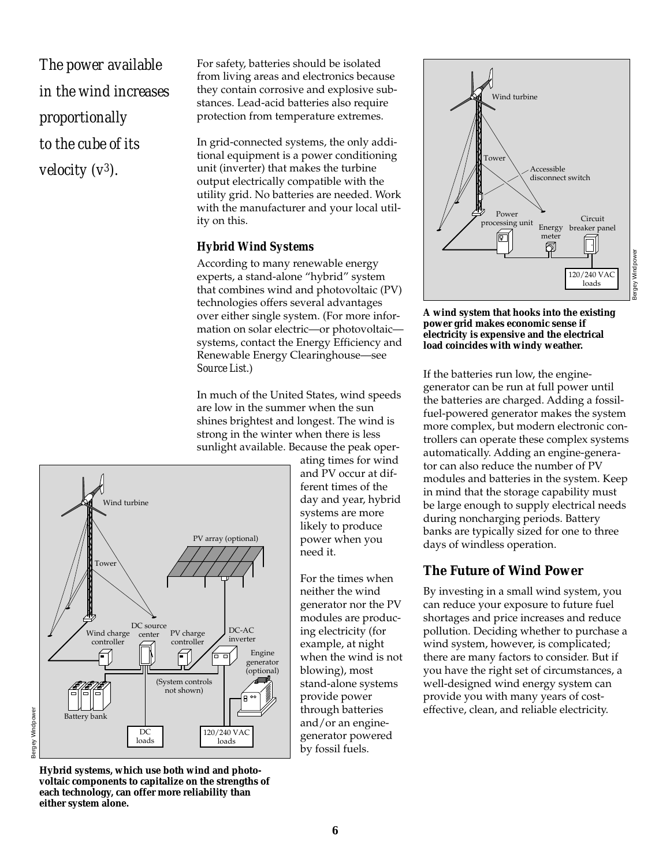*The power available in the wind increases proportionally to the cube of its velocity (v3).*

For safety, batteries should be isolated from living areas and electronics because they contain corrosive and explosive substances. Lead-acid batteries also require protection from temperature extremes.

In grid-connected systems, the only additional equipment is a power conditioning unit (inverter) that makes the turbine output electrically compatible with the utility grid. No batteries are needed. Work with the manufacturer and your local utility on this.

## *Hybrid Wind Systems*

According to many renewable energy experts, a stand-alone "hybrid" system that combines wind and photovoltaic (PV) technologies offers several advantages over either single system. (For more information on solar electric—or photovoltaic systems, contact the Energy Efficiency and Renewable Energy Clearinghouse—see *Source List.*)

In much of the United States, wind speeds are low in the summer when the sun shines brightest and longest. The wind is strong in the winter when there is less sunlight available. Because the peak oper-



**Hybrid systems, which use both wind and photovoltaic components to capitalize on the strengths of each technology, can offer more reliability than either system alone.** 

ating times for wind and PV occur at different times of the day and year, hybrid systems are more likely to produce power when you need it.

For the times when neither the wind generator nor the PV modules are producing electricity (for example, at night when the wind is not blowing), most stand-alone systems provide power through batteries and/or an enginegenerator powered by fossil fuels.



**A wind system that hooks into the existing power grid makes economic sense if electricity is expensive and the electrical load coincides with windy weather.** 

If the batteries run low, the enginegenerator can be run at full power until the batteries are charged. Adding a fossilfuel-powered generator makes the system more complex, but modern electronic controllers can operate these complex systems automatically. Adding an engine-generator can also reduce the number of PV modules and batteries in the system. Keep in mind that the storage capability must be large enough to supply electrical needs during noncharging periods. Battery banks are typically sized for one to three days of windless operation.

# **The Future of Wind Power**

By investing in a small wind system, you can reduce your exposure to future fuel shortages and price increases and reduce pollution. Deciding whether to purchase a wind system, however, is complicated; there are many factors to consider. But if you have the right set of circumstances, a well-designed wind energy system can provide you with many years of costeffective, clean, and reliable electricity.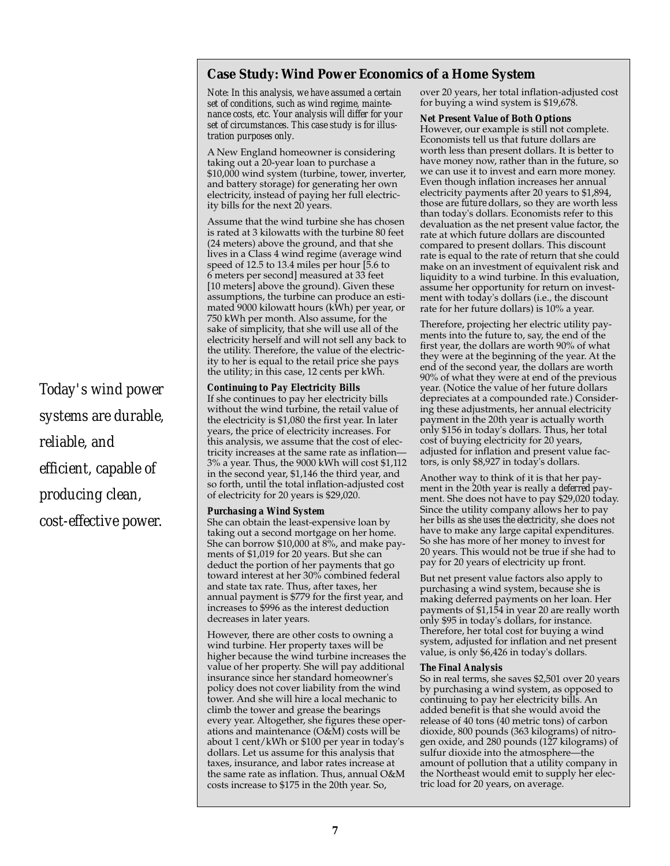## **Case Study: Wind Power Economics of a Home System**

*Note: In this analysis, we have assumed a certain set of conditions, such as wind regime, maintenance costs, etc. Your analysis will differ for your set of circumstances. This case study is for illustration purposes only.*

A New England homeowner is considering taking out a 20-year loan to purchase a \$10,000 wind system (turbine, tower, inverter, and battery storage) for generating her own electricity, instead of paying her full electricity bills for the next 20 years.

Assume that the wind turbine she has chosen is rated at 3 kilowatts with the turbine 80 feet (24 meters) above the ground, and that she lives in a Class 4 wind regime (average wind speed of 12.5 to 13.4 miles per hour [5.6 to 6 meters per second] measured at 33 feet [10 meters] above the ground). Given these assumptions, the turbine can produce an estimated 9000 kilowatt hours (kWh) per year, or 750 kWh per month. Also assume, for the sake of simplicity, that she will use all of the electricity herself and will not sell any back to the utility. Therefore, the value of the electricity to her is equal to the retail price she pays the utility; in this case, 12 cents per kWh.

*Continuing to Pay Electricity Bills*  If she continues to pay her electricity bills without the wind turbine, the retail value of the electricity is \$1,080 the first year. In later years, the price of electricity increases. For this analysis, we assume that the cost of electricity increases at the same rate as inflation— 3% a year. Thus, the 9000 kWh will cost \$1,112 in the second year, \$1,146 the third year, and so forth, until the total inflation-adjusted cost of electricity for 20 years is \$29,020.

## *Purchasing a Wind System*

She can obtain the least-expensive loan by taking out a second mortgage on her home. She can borrow \$10,000 at 8%, and make payments of \$1,019 for 20 years. But she can deduct the portion of her payments that go toward interest at her 30% combined federal and state tax rate. Thus, after taxes, her annual payment is \$779 for the first year, and increases to \$996 as the interest deduction decreases in later years.

However, there are other costs to owning a wind turbine. Her property taxes will be higher because the wind turbine increases the value of her property. She will pay additional insurance since her standard homeowner's policy does not cover liability from the wind tower. And she will hire a local mechanic to climb the tower and grease the bearings every year. Altogether, she figures these operations and maintenance (O&M) costs will be about 1 cent/kWh or \$100 per year in today's dollars. Let us assume for this analysis that taxes, insurance, and labor rates increase at the same rate as inflation. Thus, annual O&M costs increase to \$175 in the 20th year. So,

over 20 years, her total inflation-adjusted cost for buying a wind system is \$19,678.

*Net Present Value of Both Options* However, our example is still not complete. Economists tell us that future dollars are worth less than present dollars. It is better to have money now, rather than in the future, so we can use it to invest and earn more money. Even though inflation increases her annual electricity payments after 20 years to \$1,894, those are *future* dollars, so they are worth less than today's dollars. Economists refer to this devaluation as the net present value factor, the rate at which future dollars are discounted compared to present dollars. This discount rate is equal to the rate of return that she could make on an investment of equivalent risk and liquidity to a wind turbine. In this evaluation, assume her opportunity for return on investment with today's dollars (i.e., the discount rate for her future dollars) is 10% a year.

Therefore, projecting her electric utility payments into the future to, say, the end of the first year, the dollars are worth 90% of what they were at the beginning of the year. At the end of the second year, the dollars are worth 90% of what they were at end of the previous year. (Notice the value of her future dollars depreciates at a compounded rate.) Considering these adjustments, her annual electricity payment in the 20th year is actually worth only \$156 in today's dollars. Thus, her total cost of buying electricity for 20 years, adjusted for inflation and present value factors, is only \$8,927 in today's dollars.

Another way to think of it is that her payment in the 20th year is really a *deferred* payment. She does not have to pay \$29,020 today. Since the utility company allows her to pay her bills *as she uses the electricity,* she does not have to make any large capital expenditures. So she has more of her money to invest for 20 years. This would not be true if she had to pay for 20 years of electricity up front.

But net present value factors also apply to purchasing a wind system, because she is making deferred payments on her loan. Her payments of \$1,154 in year 20 are really worth only \$95 in today's dollars, for instance. Therefore, her total cost for buying a wind system, adjusted for inflation and net present value, is only \$6,426 in today's dollars.

#### *The Final Analysis*

So in real terms, she saves \$2,501 over 20 years by purchasing a wind system, as opposed to continuing to pay her electricity bills. An added benefit is that she would avoid the release of 40 tons (40 metric tons) of carbon dioxide, 800 pounds (363 kilograms) of nitrogen oxide, and 280 pounds (127 kilograms) of sulfur dioxide into the atmosphere—the amount of pollution that a utility company in the Northeast would emit to supply her electric load for 20 years, on average.

*Today's wind power systems are durable, reliable, and efficient, capable of producing clean, cost-effective power.*